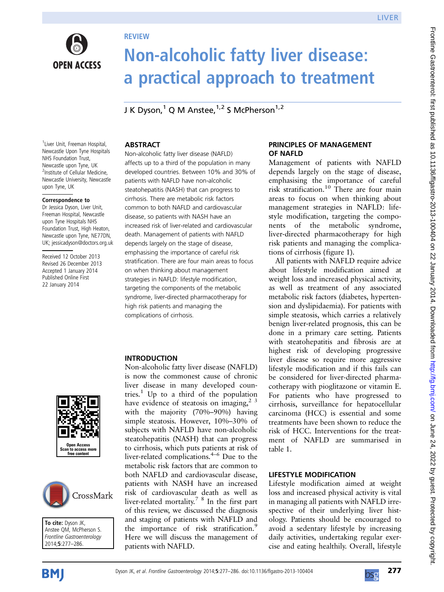

# Non-alcoholic fatty liver disease: a practical approach to treatment

J K Dyson.<sup>1</sup> O M Anstee.<sup>1,2</sup> S McPherson<sup>1,2</sup>

<sup>1</sup> Liver Unit, Freeman Hospital, Newcastle Upon Tyne Hospitals NHS Foundation Trust, Newcastle upon Tyne, UK <sup>2</sup>Institute of Cellular Medicine, Newcastle University, Newcastle upon Tyne, UK

#### Correspondence to

Dr Jessica Dyson, Liver Unit, Freeman Hospital, Newcastle upon Tyne Hospitals NHS Foundation Trust, High Heaton, Newcastle upon Tyne, NE77DN, UK; jessicadyson@doctors.org.uk

Received 12 October 2013 Revised 26 December 2013 Accepted 1 January 2014 Published Online First 22 January 2014

## **ARSTRACT**

**REVIEW** 

Non-alcoholic fatty liver disease (NAFLD) affects up to a third of the population in many developed countries. Between 10% and 30% of patients with NAFLD have non-alcoholic steatohepatitis (NASH) that can progress to cirrhosis. There are metabolic risk factors common to both NAFLD and cardiovascular disease, so patients with NASH have an increased risk of liver-related and cardiovascular death. Management of patients with NAFLD depends largely on the stage of disease, emphasising the importance of careful risk stratification. There are four main areas to focus on when thinking about management strategies in NAFLD: lifestyle modification, targeting the components of the metabolic syndrome, liver-directed pharmacotherapy for high risk patients and managing the complications of cirrhosis.

# INTRODUCTION

Non-alcoholic fatty liver disease (NAFLD) is now the commonest cause of chronic liver disease in many developed countries.<sup>1</sup> Up to a third of the population have evidence of steatosis on imaging,  $2<sup>3</sup>$ with the majority (70%–90%) having simple steatosis. However, 10%–30% of subjects with NAFLD have non-alcoholic steatohepatitis (NASH) that can progress to cirrhosis, which puts patients at risk of liver-related complications.<sup>4–6</sup> Due to the metabolic risk factors that are common to both NAFLD and cardiovascular disease, patients with NASH have an increased risk of cardiovascular death as well as liver-related mortality.<sup>7</sup> <sup>8</sup> In the first part of this review, we discussed the diagnosis and staging of patients with NAFLD and the importance of risk stratification.<sup>9</sup> Here we will discuss the management of patients with NAFLD.

# PRINCIPLES OF MANAGEMENT OF NAFLD

Management of patients with NAFLD depends largely on the stage of disease, emphasising the importance of careful risk stratification.<sup>10</sup> There are four main areas to focus on when thinking about management strategies in NAFLD: lifestyle modification, targeting the components of the metabolic syndrome, liver-directed pharmacotherapy for high risk patients and managing the complications of cirrhosis (figure 1).

All patients with NAFLD require advice about lifestyle modification aimed at weight loss and increased physical activity, as well as treatment of any associated metabolic risk factors (diabetes, hypertension and dyslipidaemia). For patients with simple steatosis, which carries a relatively benign liver-related prognosis, this can be done in a primary care setting. Patients with steatohepatitis and fibrosis are at highest risk of developing progressive liver disease so require more aggressive lifestyle modification and if this fails can be considered for liver-directed pharmacotherapy with pioglitazone or vitamin E. For patients who have progressed to cirrhosis, surveillance for hepatocellular carcinoma (HCC) is essential and some treatments have been shown to reduce the risk of HCC. Interventions for the treatment of NAFLD are summarised in table 1.

# LIFESTYLE MODIFICATION

Lifestyle modification aimed at weight loss and increased physical activity is vital in managing all patients with NAFLD irrespective of their underlying liver histology. Patients should be encouraged to avoid a sedentary lifestyle by increasing daily activities, undertaking regular exercise and eating healthily. Overall, lifestyle



To cite: Dyson JK, Anstee QM, McPherson S.<br>Frontline Gastroenterology Frontline Gastroenterology 2014;5:277–286.

Open Access Scan to access more free content

CrossMark

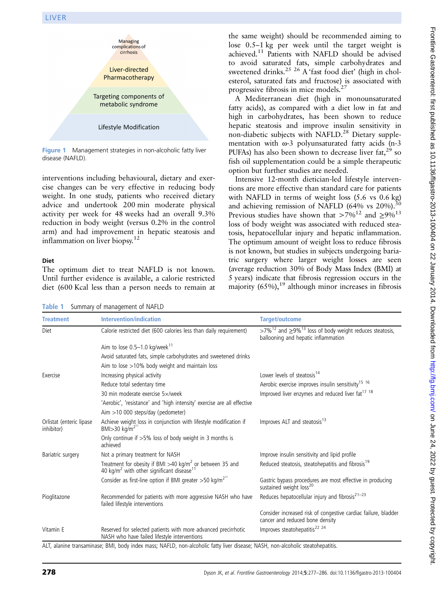

Figure 1 Management strategies in non-alcoholic fatty liver disease (NAFLD).

interventions including behavioural, dietary and exercise changes can be very effective in reducing body weight. In one study, patients who received dietary advice and undertook 200 min moderate physical activity per week for 48 weeks had an overall 9.3% reduction in body weight (versus 0.2% in the control arm) and had improvement in hepatic steatosis and inflammation on liver biopsy.<sup>12</sup>

# Diet

The optimum diet to treat NAFLD is not known. Until further evidence is available, a calorie restricted diet (600 Kcal less than a person needs to remain at

the same weight) should be recommended aiming to lose 0.5–1 kg per week until the target weight is achieved.<sup>11</sup> Patients with NAFLD should be advised to avoid saturated fats, simple carbohydrates and sweetened drinks. $25 \times 26$  A 'fast food diet' (high in cholesterol, saturated fats and fructose) is associated with progressive fibrosis in mice models.27

A Mediterranean diet (high in monounsaturated fatty acids), as compared with a diet low in fat and high in carbohydrates, has been shown to reduce hepatic steatosis and improve insulin sensitivity in non-diabetic subjects with NAFLD.28 Dietary supplementation with ω-3 polyunsaturated fatty acids (n-3 PUFAs) has also been shown to decrease liver fat,<sup>29</sup> so fish oil supplementation could be a simple therapeutic option but further studies are needed.

Intensive 12-month dietician-led lifestyle interventions are more effective than standard care for patients with NAFLD in terms of weight loss (5.6 vs 0.6 kg) and achieving remission of NAFLD (64% vs  $20\%$ ). Previous studies have shown that  $>7\%^{12}$  and  $>9\%^{13}$ loss of body weight was associated with reduced steatosis, hepatocellular injury and hepatic inflammation. The optimum amount of weight loss to reduce fibrosis is not known, but studies in subjects undergoing bariatric surgery where larger weight losses are seen (average reduction 30% of Body Mass Index (BMI) at 5 years) indicate that fibrosis regression occurs in the majority  $(65\%)$ , <sup>19</sup> although minor increases in fibrosis

Table 1 Summary of management of NAFLD

| <b>Treatment</b>                       | <b>Intervention/indication</b>                                                                                                            | Target/outcome                                                                                                              |
|----------------------------------------|-------------------------------------------------------------------------------------------------------------------------------------------|-----------------------------------------------------------------------------------------------------------------------------|
| Diet                                   | Calorie restricted diet (600 calories less than daily requirement)                                                                        | >7% <sup>12</sup> and $\geq$ 9% <sup>13</sup> loss of body weight reduces steatosis,<br>ballooning and hepatic inflammation |
|                                        | Aim to lose $0.5-1.0$ kg/week <sup>11</sup>                                                                                               |                                                                                                                             |
|                                        | Avoid saturated fats, simple carbohydrates and sweetened drinks                                                                           |                                                                                                                             |
|                                        | Aim to lose $>10\%$ body weight and maintain loss                                                                                         |                                                                                                                             |
| Exercise                               | Increasing physical activity                                                                                                              | Lower levels of steatosis <sup>14</sup>                                                                                     |
|                                        | Reduce total sedentary time                                                                                                               | Aerobic exercise improves insulin sensitivity <sup>15 16</sup>                                                              |
|                                        | 30 min moderate exercise 5x/week                                                                                                          | Improved liver enzymes and reduced liver fat <sup>17 18</sup>                                                               |
|                                        | 'Aerobic', 'resistance' and 'high intensity' exercise are all effective                                                                   |                                                                                                                             |
|                                        | Aim $>10$ 000 steps/day (pedometer)                                                                                                       |                                                                                                                             |
| Orlistat (enteric lipase<br>inhibitor) | Achieve weight loss in conjunction with lifestyle modification if<br>BMI>30 kg/m <sup>211</sup>                                           | Improves ALT and steatosis <sup>13</sup>                                                                                    |
|                                        | Only continue if $>5\%$ loss of body weight in 3 months is<br>achieved                                                                    |                                                                                                                             |
| Bariatric surgery                      | Not a primary treatment for NASH                                                                                                          | Improve insulin sensitivity and lipid profile                                                                               |
|                                        | Treatment for obesity if BMI >40 kg/m <sup>2</sup> or between 35 and<br>40 kg/m <sup>2</sup> with other significant disease <sup>11</sup> | Reduced steatosis, steatohepatitis and fibrosis <sup>19</sup>                                                               |
|                                        | Consider as first-line option if BMI greater >50 kg/m <sup>2"</sup>                                                                       | Gastric bypass procedures are most effective in producing<br>sustained weight loss <sup>20</sup>                            |
| Pioglitazone                           | Recommended for patients with more aggressive NASH who have<br>failed lifestyle interventions                                             | Reduces hepatocellular injury and fibrosis <sup>21-23</sup>                                                                 |
|                                        |                                                                                                                                           | Consider increased risk of congestive cardiac failure, bladder<br>cancer and reduced bone density                           |
| Vitamin E                              | Reserved for selected patients with more advanced precirrhotic<br>NASH who have failed lifestyle interventions                            | Improves steatohepatitis <sup>22</sup> 24                                                                                   |

ALT, alanine transaminase; BMI, body index mass; NAFLD, non-alcoholic fatty liver disease; NASH, non-alcoholic steatohepatitis.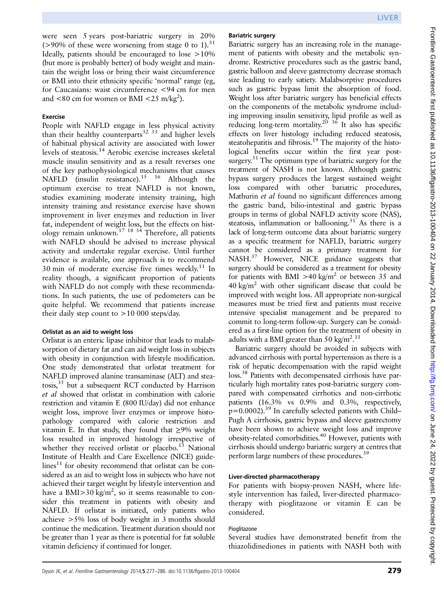were seen 5 years post-bariatric surgery in 20% ( $>90\%$  of these were worsening from stage 0 to 1).<sup>31</sup> Ideally, patients should be encouraged to lose >10% (but more is probably better) of body weight and maintain the weight loss or bring their waist circumference or BMI into their ethnicity specific 'normal' range (eg, for Caucasians: waist circumference <94 cm for men and <80 cm for women or BMI <25 m/kg<sup>2</sup>).

# Exercise

People with NAFLD engage in less physical activity than their healthy counterparts<sup>32 33</sup> and higher levels of habitual physical activity are associated with lower levels of steatosis.<sup>14</sup> Aerobic exercise increases skeletal muscle insulin sensitivity and as a result reverses one of the key pathophysiological mechanisms that causes NAFLD (insulin resistance).<sup>15</sup> <sup>16</sup> Although the optimum exercise to treat NAFLD is not known, studies examining moderate intensity training, high intensity training and resistance exercise have shown improvement in liver enzymes and reduction in liver fat, independent of weight loss, but the effects on histology remain unknown.<sup>17 18 34</sup> Therefore, all patients with NAFLD should be advised to increase physical activity and undertake regular exercise. Until further evidence is available, one approach is to recommend 30 min of moderate exercise five times weekly. $11$  In reality though, a significant proportion of patients with NAFLD do not comply with these recommendations. In such patients, the use of pedometers can be quite helpful. We recommend that patients increase their daily step count to >10 000 steps/day.

# Orlistat as an aid to weight loss

Orlistat is an enteric lipase inhibitor that leads to malabsorption of dietary fat and can aid weight loss in subjects with obesity in conjunction with lifestyle modification. One study demonstrated that orlistat treatment for NAFLD improved alanine transaminase (ALT) and steatosis,35 but a subsequent RCT conducted by Harrison et al showed that orlistat in combination with calorie restriction and vitamin E (800 IU/day) did not enhance weight loss, improve liver enzymes or improve histopathology compared with calorie restriction and vitamin E. In that study, they found that  $\geq 9\%$  weight loss resulted in improved histology irrespective of whether they received orlistat or placebo.<sup>13</sup> National Institute of Health and Care Excellence (NICE) guide $lines<sup>11</sup>$  for obesity recommend that orlistat can be considered as an aid to weight loss in subjects who have not achieved their target weight by lifestyle intervention and have a BMI $>$ 30 kg/m<sup>2</sup>, so it seems reasonable to consider this treatment in patients with obesity and NAFLD. If orlistat is initiated, only patients who achieve >5% loss of body weight in 3 months should continue the medication. Treatment duration should not be greater than 1 year as there is potential for fat soluble vitamin deficiency if continued for longer.

Bariatric surgery has an increasing role in the management of patients with obesity and the metabolic syndrome. Restrictive procedures such as the gastric band, gastric balloon and sleeve gastrectomy decrease stomach size leading to early satiety. Malabsorptive procedures such as gastric bypass limit the absorption of food. Weight loss after bariatric surgery has beneficial effects on the components of the metabolic syndrome including improving insulin sensitivity, lipid profile as well as reducing long-term mortality.<sup>20 36</sup> It also has specific effects on liver histology including reduced steatosis, steatohepatitis and fibrosis.<sup>19</sup> The majority of the histological benefits occur within the first year postsurgery.<sup>31</sup> The optimum type of bariatric surgery for the treatment of NASH is not known. Although gastric bypass surgery produces the largest sustained weight loss compared with other bariatric procedures, Mathurin et al found no significant differences among the gastric band, bilio-intestinal and gastric bypass groups in terms of global NAFLD activity score (NAS), steatosis, inflammation or ballooning.<sup>31</sup> As there is a lack of long-term outcome data about bariatric surgery as a specific treatment for NAFLD, bariatric surgery cannot be considered as a primary treatment for NASH.<sup>37</sup> However, NICE guidance suggests that surgery should be considered as a treatment for obesity for patients with BMI  $>40$  kg/m<sup>2</sup> or between 35 and  $40 \text{ kg/m}^2$  with other significant disease that could be improved with weight loss. All appropriate non-surgical measures must be tried first and patients must receive intensive specialist management and be prepared to commit to long-term follow-up. Surgery can be considered as a first-line option for the treatment of obesity in adults with a BMI greater than 50 kg/m<sup>2</sup>.<sup>11</sup>

Bariatric surgery should be avoided in subjects with advanced cirrhosis with portal hypertension as there is a risk of hepatic decompensation with the rapid weight loss.<sup>38</sup> Patients with decompensated cirrhosis have particularly high mortality rates post-bariatric surgery compared with compensated cirrhotics and non-cirrhotic patients (16.3% vs 0.9% and 0.3%, respectively,  $p=0.0002$ ).<sup>39</sup> In carefully selected patients with Child– Pugh A cirrhosis, gastric bypass and sleeve gastrectomy have been shown to achieve weight loss and improve obesity-related comorbidities.40 However, patients with cirrhosis should undergo bariatric surgery at centres that perform large numbers of these procedures.<sup>39</sup>

# Liver-directed pharmacotherapy

For patients with biopsy-proven NASH, where lifestyle intervention has failed, liver-directed pharmacotherapy with pioglitazone or vitamin E can be considered.

Several studies have demonstrated benefit from the thiazolidinediones in patients with NASH both with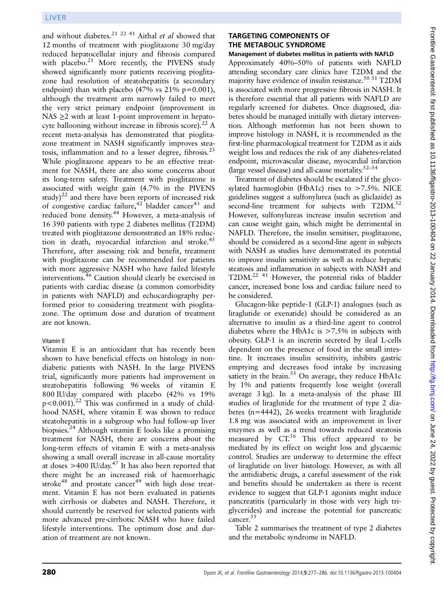and without diabetes.<sup>21 22 41</sup> Aithal *et al* showed that 12 months of treatment with pioglitazone 30 mg/day reduced hepatocellular injury and fibrosis compared with placebo. $21$  More recently, the PIVENS study showed significantly more patients receiving pioglitazone had resolution of steatohepatitis (a secondary endpoint) than with placebo (47% vs  $21\%$  p=0.001), although the treatment arm narrowly failed to meet the very strict primary endpoint (improvement in NAS  $\geq$ 2 with at least 1-point improvement in hepatocyte ballooning without increase in fibrosis score).<sup>22</sup> A recent meta-analysis has demonstrated that pioglitazone treatment in NASH significantly improves steatosis, inflammation and to a lesser degree, fibrosis.<sup>23</sup> While pioglitazone appears to be an effective treatment for NASH, there are also some concerns about its long-term safety. Treatment with pioglitazone is associated with weight gain (4.7% in the PIVENS study) $^{22}$  and there have been reports of increased risk of congestive cardiac failure,<sup>42</sup> bladder cancer<sup>43</sup> and reduced bone density.<sup>44</sup> However, a meta-analysis of 16 390 patients with type 2 diabetes mellitus (T2DM) treated with pioglitazone demonstrated an 18% reduction in death, myocardial infarction and stroke.<sup>45</sup> Therefore, after assessing risk and benefit, treatment with pioglitazone can be recommended for patients with more aggressive NASH who have failed lifestyle interventions. $46$  Caution should clearly be exercised in patients with cardiac disease (a common comorbidity in patients with NAFLD) and echocardiography performed prior to considering treatment with pioglitazone. The optimum dose and duration of treatment are not known.

Vitamin E Vitamin E is an antioxidant that has recently been shown to have beneficial effects on histology in nondiabetic patients with NASH. In the large PIVENS trial, significantly more patients had improvement in steatohepatitis following 96 weeks of vitamin E 800 IU/day compared with placebo (42% vs 19%  $p<0.001$ ).<sup>22</sup> This was confirmed in a study of childhood NASH, where vitamin E was shown to reduce steatohepatitis in a subgroup who had follow-up liver biopsies.<sup>24</sup> Although vitamin E looks like a promising treatment for NASH, there are concerns about the long-term effects of vitamin E with a meta-analysis showing a small overall increase in all-cause mortality at doses  $>400$  IU/day.<sup>47</sup> It has also been reported that there might be an increased risk of haemorrhagic stroke<sup>48</sup> and prostate cancer<sup>49</sup> with high dose treatment. Vitamin E has not been evaluated in patients with cirrhosis or diabetes and NASH. Therefore, it should currently be reserved for selected patients with more advanced pre-cirrhotic NASH who have failed lifestyle interventions. The optimum dose and duration of treatment are not known.

# TARGETING COMPONENTS OF THE METABOLIC SYNDROME

Management of diabetes mellitus in patients with NAFLD Approximately 40%–50% of patients with NAFLD attending secondary care clinics have T2DM and the majority have evidence of insulin resistance.<sup>50 51</sup> T2DM is associated with more progressive fibrosis in NASH. It is therefore essential that all patients with NAFLD are regularly screened for diabetes. Once diagnosed, diabetes should be managed initially with dietary intervention. Although metformin has not been shown to improve histology in NASH, it is recommended as the first-line pharmacological treatment for T2DM as it aids weight loss and reduces the risk of any diabetes-related endpoint, microvascular disease, myocardial infarction (large vessel disease) and all-cause mortality.52–<sup>54</sup>

Treatment of diabetes should be escalated if the glycosylated haemoglobin (HbA1c) rises to >7.5%. NICE guidelines suggest a sulfonylurea (such as gliclazide) as second-line treatment for subjects with T2DM.<sup>52</sup> However, sulfonylureas increase insulin secretion and can cause weight gain, which might be detrimental in NAFLD. Therefore, the insulin sensitiser, pioglitazone, should be considered as a second-line agent in subjects with NASH as studies have demonstrated its potential to improve insulin sensitivity as well as reduce hepatic steatosis and inflammation in subjects with NASH and T2DM.22 41 However, the potential risks of bladder cancer, increased bone loss and cardiac failure need to be considered.

Glucagon-like peptide-1 (GLP-1) analogues (such as liraglutide or exenatide) should be considered as an alternative to insulin as a third-line agent to control diabetes where the HbA1c is >7.5% in subjects with obesity. GLP-1 is an incretin secreted by ileal L-cells dependent on the presence of food in the small intestine. It increases insulin sensitivity, inhibits gastric emptying and decreases food intake by increasing satiety in the brain. $55$  On average, they reduce HbA1c by 1% and patients frequently lose weight (overall average 3 kg). In a meta-analysis of the phase III studies of liraglutide for the treatment of type 2 diabetes (n=4442), 26 weeks treatment with liraglutide 1.8 mg was associated with an improvement in liver enzymes as well as a trend towards reduced steatosis measured by CT.<sup>56</sup> This effect appeared to be mediated by its effect on weight loss and glycaemic control. Studies are underway to determine the effect of liraglutide on liver histology. However, as with all the antidiabetic drugs, a careful assessment of the risk and benefits should be undertaken as there is recent evidence to suggest that GLP-1 agonists might induce pancreatitis (particularly in those with very high triglycerides) and increase the potential for pancreatic cancer.<sup>55</sup>

Table 2 summarises the treatment of type 2 diabetes and the metabolic syndrome in NAFLD.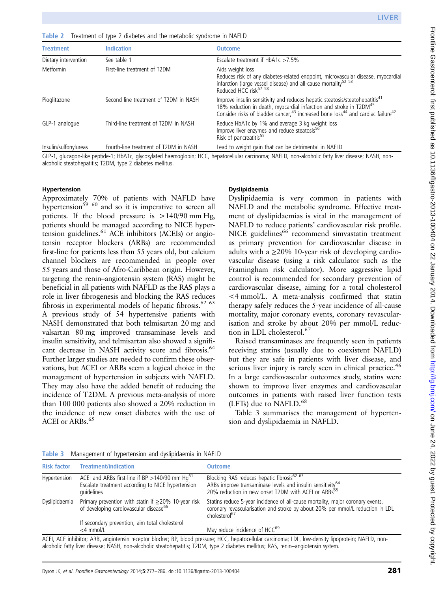Table 2 Treatment of type 2 diabetes and the metabolic syndrome in NAFLD

| <b>Treatment</b>      | <b>Indication</b>                     | <b>Outcome</b>                                                                                                                                                                                                                                                                                   |
|-----------------------|---------------------------------------|--------------------------------------------------------------------------------------------------------------------------------------------------------------------------------------------------------------------------------------------------------------------------------------------------|
| Dietary intervention  | See table 1                           | Escalate treatment if $HbA1c > 7.5%$                                                                                                                                                                                                                                                             |
| Metformin             | First-line treatment of T2DM          | Aids weight loss<br>Reduces risk of any diabetes-related endpoint, microvascular disease, myocardial<br>infarction (large vessel disease) and all-cause mortality <sup>52</sup> 53<br>Reduced HCC risk <sup>57</sup> 58                                                                          |
| Pioglitazone          | Second-line treatment of T2DM in NASH | Improve insulin sensitivity and reduces hepatic steatosis/steatohepatitis <sup>41</sup><br>18% reduction in death, myocardial infarction and stroke in T2DM <sup>45</sup><br>Consider risks of bladder cancer, <sup>43</sup> increased bone loss <sup>44</sup> and cardiac failure <sup>42</sup> |
| GLP-1 analogue        | Third-line treatment of T2DM in NASH  | Reduce HbA1c by 1% and average 3 kg weight loss<br>Improve liver enzymes and reduce steatosis <sup>56</sup><br>Risk of pancreatitis <sup>55</sup>                                                                                                                                                |
| Insulin/sulfonylureas | Fourth-line treatment of T2DM in NASH | Lead to weight gain that can be detrimental in NAFLD                                                                                                                                                                                                                                             |

GLP-1, glucagon-like peptide-1; HbA1c, glycosylated haemoglobin; HCC, hepatocellular carcinoma; NAFLD, non-alcoholic fatty liver disease; NASH, nonalcoholic steatohepatitis; T2DM, type 2 diabetes mellitus.

#### Hypertension

Approximately 70% of patients with NAFLD have hypertension<sup>59 60</sup> and so it is imperative to screen all patients. If the blood pressure is >140/90 mm Hg, patients should be managed according to NICE hypertension guidelines. $61$  ACE inhibitors (ACEIs) or angiotensin receptor blockers (ARBs) are recommended first-line for patients less than 55 years old, but calcium channel blockers are recommended in people over 55 years and those of Afro-Caribbean origin. However, targeting the renin–angiotensin system (RAS) might be beneficial in all patients with NAFLD as the RAS plays a role in liver fibrogenesis and blocking the RAS reduces fibrosis in experimental models of hepatic fibrosis.<sup>62 63</sup> A previous study of 54 hypertensive patients with NASH demonstrated that both telmisartan 20 mg and valsartan 80 mg improved transaminase levels and insulin sensitivity, and telmisartan also showed a significant decrease in NASH activity score and fibrosis.<sup>64</sup> Further larger studies are needed to confirm these observations, but ACEI or ARBs seem a logical choice in the management of hypertension in subjects with NAFLD. They may also have the added benefit of reducing the incidence of T2DM. A previous meta-analysis of more than 100 000 patients also showed a 20% reduction in the incidence of new onset diabetes with the use of ACEI or ARBs.<sup>65</sup>

# Dyslipidaemia

Dyslipidaemia is very common in patients with NAFLD and the metabolic syndrome. Effective treatment of dyslipidaemias is vital in the management of NAFLD to reduce patients' cardiovascular risk profile. NICE guidelines<sup>66</sup> recommend simvastatin treatment as primary prevention for cardiovascular disease in adults with a  $\geq$ 20% 10-year risk of developing cardiovascular disease (using a risk calculator such as the Framingham risk calculator). More aggressive lipid control is recommended for secondary prevention of cardiovascular disease, aiming for a total cholesterol <4 mmol/L. A meta-analysis confirmed that statin therapy safely reduces the 5-year incidence of all-cause mortality, major coronary events, coronary revascularisation and stroke by about 20% per mmol/L reduction in LDL cholesterol.<sup>67</sup>

Raised transaminases are frequently seen in patients receiving statins (usually due to coexistent NAFLD) but they are safe in patients with liver disease, and serious liver injury is rarely seen in clinical practice.<sup>46</sup> In a large cardiovascular outcomes study, statins were shown to improve liver enzymes and cardiovascular outcomes in patients with raised liver function tests (LFTs) due to NAFLD.<sup>68</sup>

Table 3 summarises the management of hypertension and dyslipidaemia in NAFLD.

Table 3 Management of hypertension and dyslipidaemia in NAFLD

| <b>Risk factor</b> | Treatment/indication                                                                                                    | Outcome                                                                                                                                                                                             |
|--------------------|-------------------------------------------------------------------------------------------------------------------------|-----------------------------------------------------------------------------------------------------------------------------------------------------------------------------------------------------|
| Hypertension       | ACEI and ARBs first-line if BP > 140/90 mm $Hq^{61}$<br>Escalate treatment according to NICE hypertension<br>quidelines | Blocking RAS reduces hepatic fibrosis <sup>62 63</sup><br>ARBs improve transaminase levels and insulin sensitivity <sup>64</sup><br>20% reduction in new onset T2DM with ACEI or ARBs <sup>65</sup> |
| Dyslipidaemia      | Primary prevention with statin if $\geq$ 20% 10-year risk of developing cardiovascular disease <sup>66</sup>            | Statins reduce 5-year incidence of all-cause mortality, major coronary events,<br>coronary revascularisation and stroke by about 20% per mmol/L reduction in LDL<br>cholesterol <sup>67</sup>       |
|                    | If secondary prevention, aim total cholesterol<br>$<$ 4 mmol/L                                                          | May reduce incidence of HCC <sup>69</sup>                                                                                                                                                           |

ACEI, ACE inhibitor; ARB, angiotensin receptor blocker; BP, blood pressure; HCC, hepatocellular carcinoma; LDL, low-density lipoprotein; NAFLD, nonalcoholic fatty liver disease; NASH, non-alcoholic steatohepatitis; T2DM, type 2 diabetes mellitus; RAS, renin–angiotensin system.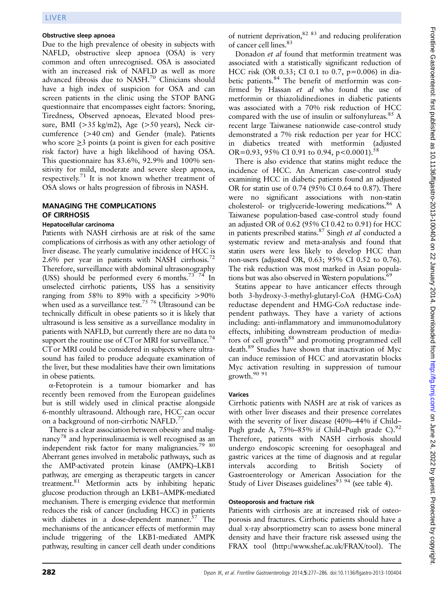#### Obstructive sleep apnoea

Due to the high prevalence of obesity in subjects with NAFLD, obstructive sleep apnoea (OSA) is very common and often unrecognised. OSA is associated with an increased risk of NAFLD as well as more advanced fibrosis due to NASH.<sup>70</sup> Clinicians should have a high index of suspicion for OSA and can screen patients in the clinic using the STOP BANG questionnaire that encompasses eight factors: Snoring, Tiredness, Observed apnoeas, Elevated blood pressure, BMI (>35 kg/m2), Age (>50 years), Neck circumference (>40 cm) and Gender (male). Patients who score  $\geq$ 3 points (a point is given for each positive risk factor) have a high likelihood of having OSA. This questionnaire has 83.6%, 92.9% and 100% sensitivity for mild, moderate and severe sleep apnoea, respectively.<sup>71</sup> It is not known whether treatment of OSA slows or halts progression of fibrosis in NASH.

## MANAGING THE COMPLICATIONS OF CIRRHOSIS

#### Hepatocellular carcinoma

Patients with NASH cirrhosis are at risk of the same complications of cirrhosis as with any other aetiology of liver disease. The yearly cumulative incidence of HCC is 2.6% per year in patients with NASH cirrhosis.72 Therefore, surveillance with abdominal ultrasonography (USS) should be performed every 6 months.<sup>73 74</sup> In unselected cirrhotic patients, USS has a sensitivity ranging from 58% to 89% with a specificity  $>90\%$ when used as a surveillance test.<sup>75 76</sup> Ultrasound can be technically difficult in obese patients so it is likely that ultrasound is less sensitive as a surveillance modality in patients with NAFLD, but currently there are no data to support the routine use of CT or MRI for surveillance.<sup>74</sup> CT or MRI could be considered in subjects where ultrasound has failed to produce adequate examination of the liver, but these modalities have their own limitations in obese patients.

α-Fetoprotein is a tumour biomarker and has recently been removed from the European guidelines but is still widely used in clinical practise alongside 6-monthly ultrasound. Although rare, HCC can occur on a background of non-cirrhotic NAFLD.<sup>77</sup>

There is a clear association between obesity and malignancy<sup>78</sup> and hyperinsulinaemia is well recognised as an independent risk factor for many malignancies.<sup>79 80</sup> Aberrant genes involved in metabolic pathways, such as the AMP-activated protein kinase (AMPK)–LKB1 pathway, are emerging as therapeutic targets in cancer treatment.81 Metformin acts by inhibiting hepatic glucose production through an LKB1–AMPK-mediated mechanism. There is emerging evidence that metformin reduces the risk of cancer (including HCC) in patients with diabetes in a dose-dependent manner.<sup>57</sup> The mechanisms of the anticancer effects of metformin may include triggering of the LKB1-mediated AMPK pathway, resulting in cancer cell death under conditions

of nutrient deprivation,  $8283$  and reducing proliferation of cancer cell lines.83

Donadon et al found that metformin treatment was associated with a statistically significant reduction of HCC risk (OR 0.33; CI 0.1 to 0.7, p=0.006) in diabetic patients.<sup>84</sup> The benefit of metformin was confirmed by Hassan et al who found the use of metformin or thiazolidinediones in diabetic patients was associated with a 70% risk reduction of HCC compared with the use of insulin or sulfonylureas.<sup>85</sup> A recent large Taiwanese nationwide case-control study demonstrated a 7% risk reduction per year for HCC in diabetics treated with metformin (adjusted OR=0.93, 95% CI 0.91 to 0.94, p<0.0001).<sup>58</sup>

There is also evidence that statins might reduce the incidence of HCC. An American case-control study examining HCC in diabetic patients found an adjusted OR for statin use of 0.74 (95% CI 0.64 to 0.87). There were no significant associations with non-statin cholesterol- or triglyceride-lowering medications.<sup>86</sup> A Taiwanese population-based case-control study found an adjusted OR of 0.62 (95% CI 0.42 to 0.91) for HCC in patients prescribed statins.87 Singh et al conducted a systematic review and meta-analysis and found that statin users were less likely to develop HCC than non-users (adjusted OR, 0.63; 95% CI 0.52 to 0.76). The risk reduction was most marked in Asian populations but was also observed in Western populations.<sup>69</sup>

Statins appear to have anticancer effects through both 3-hydroxy-3-methyl-glutaryl-CoA (HMG-CoA) reductase dependent and HMG-CoA reductase independent pathways. They have a variety of actions including: anti-inflammatory and immunomodulatory effects, inhibiting downstream production of mediators of cell growth<sup>88</sup> and promoting programmed cell death.<sup>89</sup> Studies have shown that inactivation of Myc can induce remission of HCC and atorvastatin blocks Myc activation resulting in suppression of tumour growth. $^{90}$   $^{91}$ 

#### Varices

Cirrhotic patients with NASH are at risk of varices as with other liver diseases and their presence correlates with the severity of liver disease (40%–44% if Child– Pugh grade A, 75%–85% if Child–Pugh grade C).<sup>92</sup> Therefore, patients with NASH cirrhosis should undergo endoscopic screening for oesophageal and gastric varices at the time of diagnosis and at regular intervals according to British Society of Gastroenterology or American Association for the Study of Liver Diseases guidelines<sup>93 94</sup> (see table 4).

### Osteoporosis and fracture risk

Patients with cirrhosis are at increased risk of osteoporosis and fractures. Cirrhotic patients should have a dual x-ray absorptiometry scan to assess bone mineral density and have their fracture risk assessed using the FRAX tool [\(http://www.shef.ac.uk/FRAX/tool](http://www.shef.ac.uk/FRAX/tool)). The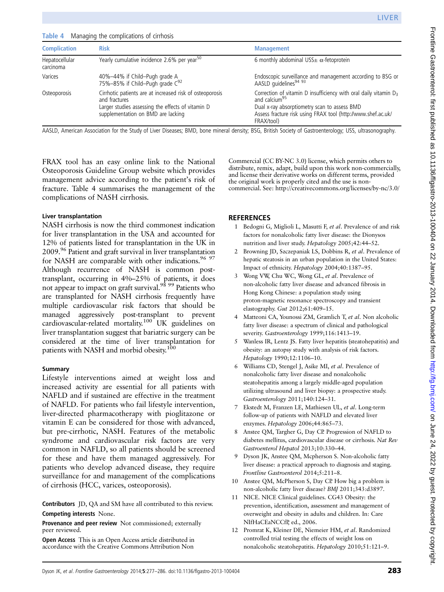Table 4 Managing the complications of cirrhosis

| <b>Complication</b>         | <b>Risk</b>                                                                                                                                                          | <b>Management</b>                                                                                                                                                                                                              |
|-----------------------------|----------------------------------------------------------------------------------------------------------------------------------------------------------------------|--------------------------------------------------------------------------------------------------------------------------------------------------------------------------------------------------------------------------------|
| Hepatocellular<br>carcinoma | Yearly cumulative incidence 2.6% per year <sup>50</sup>                                                                                                              | 6 monthly abdominal USS $\pm \alpha$ -fetoprotein                                                                                                                                                                              |
| Varices                     | 40%-44% if Child-Pugh grade A<br>75%-85% if Child-Pugh grade C <sup>92</sup>                                                                                         | Endoscopic surveillance and management according to BSG or<br>AASLD quidelines <sup>94 93</sup>                                                                                                                                |
| Osteoporosis                | Cirrhotic patients are at increased risk of osteoporosis<br>and fractures<br>Larger studies assessing the effects of vitamin D<br>supplementation on BMD are lacking | Correction of vitamin D insufficiency with oral daily vitamin $D_3$<br>and calcium <sup>95</sup><br>Dual x-ray absorptiometry scan to assess BMD<br>Assess fracture risk using FRAX tool (http://www.shef.ac.uk/<br>FRAX/tool) |

AASLD, American Association for the Study of Liver Diseases; BMD, bone mineral density; BSG, British Society of Gastroenterology; USS, ultrasonography.

FRAX tool has an easy online link to the National Osteoporosis Guideline Group website which provides management advice according to the patient's risk of fracture. Table 4 summarises the management of the complications of NASH cirrhosis.

# Liver transplantation

NASH cirrhosis is now the third commonest indication for liver transplantation in the USA and accounted for 12% of patients listed for transplantation in the UK in 2009.96 Patient and graft survival in liver transplantation for NASH are comparable with other indications.<sup>96 97</sup> Although recurrence of NASH is common posttransplant, occurring in 4%–25% of patients, it does not appear to impact on graft survival.<sup>98</sup> 99 Patients who are transplanted for NASH cirrhosis frequently have multiple cardiovascular risk factors that should be managed aggressively post-transplant to prevent cardiovascular-related mortality.<sup>100</sup> UK guidelines on liver transplantation suggest that bariatric surgery can be considered at the time of liver transplantation for patients with NASH and morbid obesity.<sup>100</sup>

# **Summary**

Lifestyle interventions aimed at weight loss and increased activity are essential for all patients with NAFLD and if sustained are effective in the treatment of NAFLD. For patients who fail lifestyle intervention, liver-directed pharmacotherapy with pioglitazone or vitamin E can be considered for those with advanced, but pre-cirrhotic, NASH. Features of the metabolic syndrome and cardiovascular risk factors are very common in NAFLD, so all patients should be screened for these and have them managed aggressively. For patients who develop advanced disease, they require surveillance for and management of the complications of cirrhosis (HCC, varices, osteoporosis).

Contributors JD, QA and SM have all contributed to this review. Competing interests None.

Provenance and peer review Not commissioned; externally peer reviewed.

Open Access This is an Open Access article distributed in accordance with the Creative Commons Attribution Non

Commercial (CC BY-NC 3.0) license, which permits others to distribute, remix, adapt, build upon this work non-commercially, and license their derivative works on different terms, provided the original work is properly cited and the use is noncommercial. See: http://creativecommons.org/licenses/by-nc/3.0/

# **REFERENCES**

- 1 Bedogni G, Miglioli L, Masutti F, et al. Prevalence of and risk factors for nonalcoholic fatty liver disease: the Dionysos nutrition and liver study. Hepatology 2005;42:44–52.
- 2 Browning JD, Szczepaniak LS, Dobbins R, et al. Prevalence of hepatic steatosis in an urban population in the United States: Impact of ethnicity. Hepatology 2004;40:1387–95.
- 3 Wong VW, Chu WC, Wong GL, et al. Prevalence of non-alcoholic fatty liver disease and advanced fibrosis in Hong Kong Chinese: a population study using proton-magnetic resonance spectroscopy and transient elastography. Gut 2012;61:409–15.
- 4 Matteoni CA, Younossi ZM, Gramlich T, et al. Non alcoholic fatty liver disease: a spectrum of clinical and pathological severity. Gastroenterology 1999;116:1413-19.
- 5 Wanless IR, Lentz JS. Fatty liver hepatitis (steatohepatitis) and obesity: an autopsy study with analysis of risk factors. Hepatology 1990;12:1106–10.
- 6 Williams CD, Stengel J, Asike MI, et al. Prevalence of nonalcoholic fatty liver disease and nonalcoholic steatohepatitis among a largely middle-aged population utilizing ultrasound and liver biopsy: a prospective study. Gastroenterology 2011;140:124–31.
- 7 Ekstedt M, Franzen LE, Mathiesen UL, et al. Long-term follow-up of patients with NAFLD and elevated liver enzymes. Hepatology 2006;44:865–73.
- 8 Anstee QM, Targher G, Day CP. Progression of NAFLD to diabetes mellitus, cardiovascular disease or cirrhosis. Nat Rev Gastroenterol Hepatol 2013;10:330–44.
- Dyson JK, Anstee QM, Mcpherson S. Non-alcoholic fatty liver disease: a practical approach to diagnosis and staging. Frontline Gastroenterol 2014;5:211–8.
- 10 Anstee QM, McPherson S, Day CP. How big a problem is non-alcoholic fatty liver disease? BMJ 2011;343:d3897.
- 11 NICE. NICE Clinical guidelines. CG43 Obesity: the prevention, identification, assessment and management of overweight and obesity in adults and children. In: Care NIfHaCEaNCCfP, ed., 2006.
- 12 Promrat K, Kleiner DE, Niemeier HM, et al. Randomized controlled trial testing the effects of weight loss on nonalcoholic steatohepatitis. Hepatology 2010;51:121–9.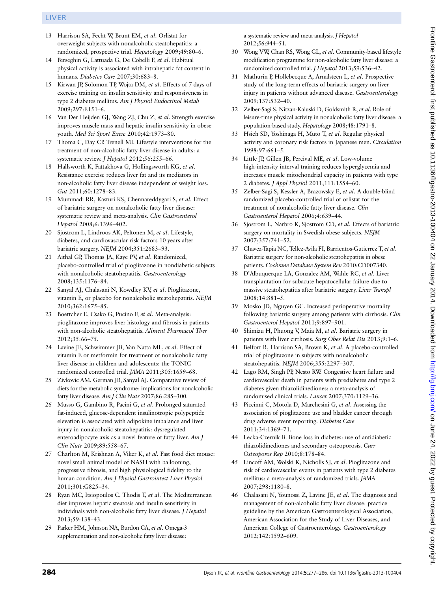# LIVER

- 13 Harrison SA, Fecht W, Brunt EM, et al. Orlistat for overweight subjects with nonalcoholic steatohepatitis: a randomized, prospective trial. Hepatology 2009;49:80–6.
- 14 Perseghin G, Lattuada G, De Cobelli F, et al. Habitual physical activity is associated with intrahepatic fat content in humans. Diabetes Care 2007;30:683–8.
- 15 Kirwan JP, Solomon TP, Wojta DM, et al. Effects of 7 days of exercise training on insulin sensitivity and responsiveness in type 2 diabetes mellitus. Am J Physiol Endocrinol Metab 2009;297:E151–6.
- 16 Van Der Heijden GJ, Wang ZJ, Chu Z, et al. Strength exercise improves muscle mass and hepatic insulin sensitivity in obese youth. Med Sci Sport Exerc 2010;42:1973–80.
- 17 Thoma C, Day CP, Trenell MI. Lifestyle interventions for the treatment of non-alcoholic fatty liver disease in adults: a systematic review. *J Hepatol* 2012;56:255-66.
- 18 Hallsworth K, Fattakhova G, Hollingsworth KG, et al. Resistance exercise reduces liver fat and its mediators in non-alcoholic fatty liver disease independent of weight loss. Gut 2011;60:1278–83.
- 19 Mummadi RR, Kasturi KS, Chennareddygari S, et al. Effect of bariatric surgery on nonalcoholic fatty liver disease: systematic review and meta-analysis. Clin Gastroenterol Hepatol 2008;6:1396–402.
- 20 Sjostrom L, Lindroos AK, Peltonen M, et al. Lifestyle, diabetes, and cardiovascular risk factors 10 years after bariatric surgery. NEJM 2004;351:2683–93.
- 21 Aithal GP, Thomas JA, Kaye PV, et al. Randomized, placebo-controlled trial of pioglitazone in nondiabetic subjects with nonalcoholic steatohepatitis. Gastroenterology 2008;135:1176–84.
- 22 Sanyal AJ, Chalasani N, Kowdley KV, et al. Pioglitazone, vitamin E, or placebo for nonalcoholic steatohepatitis. NEJM 2010;362:1675–85.
- 23 Boettcher E, Csako G, Pucino F, et al. Meta-analysis: pioglitazone improves liver histology and fibrosis in patients with non-alcoholic steatohepatitis. Aliment Pharmacol Ther 2012;35:66–75.
- 24 Lavine JE, Schwimmer JB, Van Natta ML, et al. Effect of vitamin E or metformin for treatment of nonalcoholic fatty liver disease in children and adolescents: the TONIC randomized controlled trial. JAMA 2011;305:1659–68.
- 25 Zivkovic AM, German JB, Sanyal AJ. Comparative review of diets for the metabolic syndrome: implications for nonalcoholic fatty liver disease. Am J Clin Nutr 2007;86:285-300.
- 26 Musso G, Gambino R, Pacini G, et al. Prolonged saturated fat-induced, glucose-dependent insulinotropic polypeptide elevation is associated with adipokine imbalance and liver injury in nonalcoholic steatohepatitis: dysregulated enteroadipocyte axis as a novel feature of fatty liver. Am J Clin Nutr 2009;89:558–67.
- 27 Charlton M, Krishnan A, Viker K, et al. Fast food diet mouse: novel small animal model of NASH with ballooning, progressive fibrosis, and high physiological fidelity to the human condition. Am J Physiol Gastrointest Liver Physiol 2011;301:G825–34.
- 28 Ryan MC, Itsiopoulos C, Thodis T, et al. The Mediterranean diet improves hepatic steatosis and insulin sensitivity in individuals with non-alcoholic fatty liver disease. *J Hepatol* 2013;59:138–43.
- 29 Parker HM, Johnson NA, Burdon CA, et al. Omega-3 supplementation and non-alcoholic fatty liver disease:

a systematic review and meta-analysis. J Hepatol 2012;56:944–51.

- 30 Wong VW, Chan RS, Wong GL, et al. Community-based lifestyle modification programme for non-alcoholic fatty liver disease: a randomized controlled trial. J Hepatol 2013;59:536–42.
- 31 Mathurin P, Hollebecque A, Arnalsteen L, et al. Prospective study of the long-term effects of bariatric surgery on liver injury in patients without advanced disease. Gastroenterology 2009;137:532–40.
- 32 Zelber-Sagi S, Nitzan-Kaluski D, Goldsmith R, et al. Role of leisure-time physical activity in nonalcoholic fatty liver disease: a population-based study. Hepatology 2008;48:1791-8.
- 33 Hsieh SD, Yoshinaga H, Muto T, et al. Regular physical activity and coronary risk factors in Japanese men. Circulation 1998;97:661–5.
- 34 Little JP, Gillen JB, Percival ME, et al. Low-volume high-intensity interval training reduces hyperglycemia and increases muscle mitochondrial capacity in patients with type 2 diabetes. J Appl Physiol 2011;111:1554–60.
- 35 Zelber-Sagi S, Kessler A, Brazowsky E, et al. A double-blind randomized placebo-controlled trial of orlistat for the treatment of nonalcoholic fatty liver disease. Clin Gastroenterol Hepatol 2006;4:639–44.
- 36 Sjostrom L, Narbro K, Sjostrom CD, et al. Effects of bariatric surgery on mortality in Swedish obese subjects. NEJM 2007;357:741–52.
- 37 Chavez-Tapia NC, Tellez-Avila FI, Barrientos-Gutierrez T, et al. Bariatric surgery for non-alcoholic steatohepatitis in obese patients. Cochrane Database System Rev 2010:CD007340.
- 38 D'Albuquerque LA, Gonzalez AM, Wahle RC, et al. Liver transplantation for subacute hepatocellular failure due to massive steatohepatitis after bariatric surgery. Liver Transpl 2008;14:881–5.
- 39 Mosko JD, Nguyen GC. Increased perioperative mortality following bariatric surgery among patients with cirrhosis. Clin Gastroenterol Hepatol 2011;9:897–901.
- 40 Shimizu H, Phuong V, Maia M, et al. Bariatric surgery in patients with liver cirrhosis. Surg Obes Relat Dis 2013;9:1-6.
- 41 Belfort R, Harrison SA, Brown K, et al. A placebo-controlled trial of pioglitazone in subjects with nonalcoholic steatohepatitis. NEJM 2006;355:2297–307.
- 42 Lago RM, Singh PP, Nesto RW. Congestive heart failure and cardiovascular death in patients with prediabetes and type 2 diabetes given thiazolidinediones: a meta-analysis of randomised clinical trials. Lancet 2007;370:1129–36.
- 43 Piccinni C, Motola D, Marchesini G, et al. Assessing the association of pioglitazone use and bladder cancer through drug adverse event reporting. Diabetes Care 2011;34:1369–71.
- 44 Lecka-Czernik B. Bone loss in diabetes: use of antidiabetic thiazolidinediones and secondary osteoporosis. Curr Osteoporos Rep 2010;8:178–84.
- 45 Lincoff AM, Wolski K, Nicholls SJ, et al. Pioglitazone and risk of cardiovascular events in patients with type 2 diabetes mellitus: a meta-analysis of randomized trials. JAMA 2007;298:1180–8.
- 46 Chalasani N, Younossi Z, Lavine JE, et al. The diagnosis and management of non-alcoholic fatty liver disease: practice guideline by the American Gastroenterological Association, American Association for the Study of Liver Diseases, and American College of Gastroenterology. Gastroenterology 2012;142:1592–609.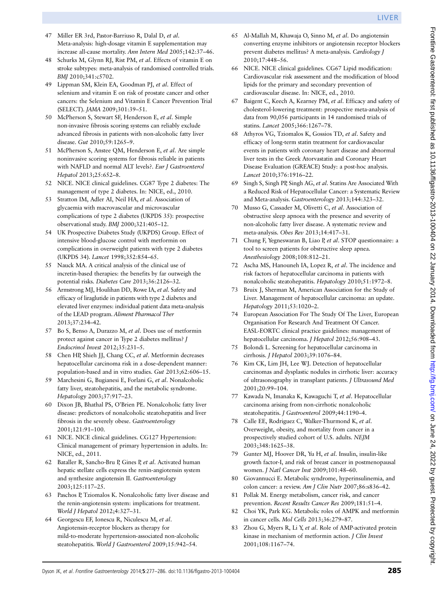LIVER

- 47 Miller ER 3rd, Pastor-Barriuso R, Dalal D, et al. Meta-analysis: high-dosage vitamin E supplementation may increase all-cause mortality. Ann Intern Med 2005;142:37–46.
- 48 Schurks M, Glynn RJ, Rist PM, et al. Effects of vitamin E on stroke subtypes: meta-analysis of randomised controlled trials. BMJ 2010;341:c5702.
- 49 Lippman SM, Klein EA, Goodman PJ, et al. Effect of selenium and vitamin E on risk of prostate cancer and other cancers: the Selenium and Vitamin E Cancer Prevention Trial (SELECT). JAMA 2009;301:39–51.
- 50 McPherson S, Stewart SF, Henderson E, et al. Simple non-invasive fibrosis scoring systems can reliably exclude advanced fibrosis in patients with non-alcoholic fatty liver disease. Gut 2010;59:1265–9.
- 51 McPherson S, Anstee QM, Henderson E, et al. Are simple noninvasive scoring systems for fibrosis reliable in patients with NAFLD and normal ALT levels?. Eur J Gastroenterol Hepatol 2013;25:652–8.
- 52 NICE. NICE clinical guidelines. CG87 Type 2 diabetes: The management of type 2 diabetes. In: NICE, ed., 2010.
- 53 Stratton IM, Adler AI, Neil HA, et al. Association of glycaemia with macrovascular and microvascular complications of type 2 diabetes (UKPDS 35): prospective observational study. BMJ 2000;321:405–12.
- 54 UK Prospective Diabetes Study (UKPDS) Group. Effect of intensive blood-glucose control with metformin on complications in overweight patients with type 2 diabetes (UKPDS 34). Lancet 1998;352:854–65.
- 55 Nauck MA. A critical analysis of the clinical use of incretin-based therapies: the benefits by far outweigh the potential risks. Diabetes Care 2013;36:2126–32.
- 56 Armstrong MJ, Houlihan DD, Rowe IA, et al. Safety and efficacy of liraglutide in patients with type 2 diabetes and elevated liver enzymes: individual patient data meta-analysis of the LEAD program. Aliment Pharmacol Ther 2013;37:234–42.
- 57 Bo S, Benso A, Durazzo M, et al. Does use of metformin protect against cancer in Type 2 diabetes mellitus? J Endocrinol Invest 2012;35:231–5.
- 58 Chen HP, Shieh JJ, Chang CC, et al. Metformin decreases hepatocellular carcinoma risk in a dose-dependent manner: population-based and in vitro studies. Gut 2013;62:606–15.
- 59 Marchesini G, Bugianesi E, Forlani G, et al. Nonalcoholic fatty liver, steatohepatitis, and the metabolic syndrome. Hepatology 2003;37:917–23.
- 60 Dixon JB, Bhathal PS, O'Brien PE. Nonalcoholic fatty liver disease: predictors of nonalcoholic steatohepatitis and liver fibrosis in the severely obese. Gastroenterology 2001;121:91–100.
- 61 NICE. NICE clinical guidelines. CG127 Hypertension: Clinical management of primary hypertension in adults. In: NICE, ed., 2011.
- 62 Bataller R, Sancho-Bru P, Gines P, et al. Activated human hepatic stellate cells express the renin-angiotensin system and synthesize angiotensin II. Gastroenterology 2003;125:117–25.
- 63 Paschos P, Tziomalos K. Nonalcoholic fatty liver disease and the renin-angiotensin system: implications for treatment. World J Hepatol 2012;4:327–31.
- 64 Georgescu EF, Ionescu R, Niculescu M, et al. Angiotensin-receptor blockers as therapy for mild-to-moderate hypertension-associated non-alcoholic steatohepatitis. World J Gastroenterol 2009;15:942-54.
- 65 Al-Mallah M, Khawaja O, Sinno M, et al. Do angiotensin converting enzyme inhibitors or angiotensin receptor blockers prevent diabetes mellitus? A meta-analysis. Cardiology J 2010;17:448–56.
- 66 NICE. NICE clinical guidelines. CG67 Lipid modification: Cardiovascular risk assessment and the modification of blood lipids for the primary and secondary prevention of cardiovascular disease. In: NICE, ed., 2010.
- 67 Baigent C, Keech A, Kearney PM, et al. Efficacy and safety of cholesterol-lowering treatment: prospective meta-analysis of data from 90,056 participants in 14 randomised trials of statins. Lancet 2005;366:1267-78.
- 68 Athyros VG, Tziomalos K, Gossios TD, et al. Safety and efficacy of long-term statin treatment for cardiovascular events in patients with coronary heart disease and abnormal liver tests in the Greek Atorvastatin and Coronary Heart Disease Evaluation (GREACE) Study: a post-hoc analysis. Lancet 2010;376:1916–22.
- 69 Singh S, Singh PP, Singh AG, et al. Statins Are Associated With a Reduced Risk of Hepatocellular Cancer: a Systematic Review and Meta-analysis. Gastroenterology 2013;144:323–32.
- 70 Musso G, Cassader M, Olivetti C, et al. Association of obstructive sleep apnoea with the presence and severity of non-alcoholic fatty liver disease. A systematic review and meta-analysis. Obes Rev 2013;14:417–31.
- 71 Chung F, Yegneswaran B, Liao P, et al. STOP questionnaire: a tool to screen patients for obstructive sleep apnea. Anesthesiology 2008;108:812–21.
- 72 Ascha MS, Hanouneh IA, Lopez R, et al. The incidence and risk factors of hepatocellular carcinoma in patients with nonalcoholic steatohepatitis. Hepatology 2010;51:1972–8.
- 73 Bruix J, Sherman M, American Association for the Study of Liver. Management of hepatocellular carcinoma: an update. Hepatology 2011;53:1020–2.
- 74 European Association For The Study Of The Liver, European Organisation For Research And Treatment Of Cancer. EASL-EORTC clinical practice guidelines: management of hepatocellular carcinoma. J Hepatol 2012;56:908-43.
- 75 Bolondi L. Screening for hepatocellular carcinoma in cirrhosis. J Hepatol 2003;39:1076–84.
- 76 Kim CK, Lim JH, Lee WJ. Detection of hepatocellular carcinomas and dysplastic nodules in cirrhotic liver: accuracy of ultrasonography in transplant patients. J Ultrasound Med 2001;20:99–104.
- 77 Kawada N, Imanaka K, Kawaguchi T, et al. Hepatocellular carcinoma arising from non-cirrhotic nonalcoholic steatohepatitis. *J Gastroenterol* 2009;44:1190-4.
- 78 Calle EE, Rodriguez C, Walker-Thurmond K, et al. Overweight, obesity, and mortality from cancer in a prospectively studied cohort of U.S. adults. NEJM 2003;348:1625–38.
- 79 Gunter MJ, Hoover DR, Yu H, et al. Insulin, insulin-like growth factor-I, and risk of breast cancer in postmenopausal women. J Natl Cancer Inst 2009;101:48–60.
- 80 Giovannucci E. Metabolic syndrome, hyperinsulinemia, and colon cancer: a review. Am J Clin Nutr 2007;86:s836-42.
- 81 Pollak M. Energy metabolism, cancer risk, and cancer prevention. Recent Results Cancer Res 2009;181:51–4.
- 82 Choi YK, Park KG. Metabolic roles of AMPK and metformin in cancer cells. Mol Cells 2013;36:279–87.
- 83 Zhou G, Myers R, Li Y, et al. Role of AMP-activated protein kinase in mechanism of metformin action. J Clin Invest 2001;108:1167–74.